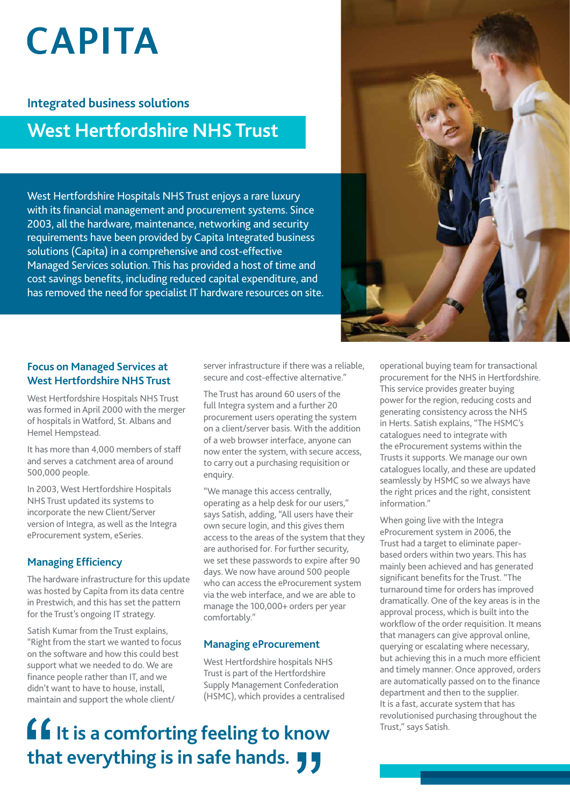# **CAPITA**

### **Integrated business solutions**

### **West Hertfordshire NHS Trust**

West Hertfordshire Hospitals NHS Trust enjoys a rare luxury with its financial management and procurement systems. Since 2003, all the hardware, maintenance, networking and security requirements have been provided by Capita Integrated business solutions (Capita) in a comprehensive and cost-effective Managed Services solution. This has provided a host of time and cost savings benefits, including reduced capital expenditure, and has removed the need for specialist IT hardware resources on site.



### **Focus on Managed Services at West Hertfordshire NHS Trust**

West Hertfordshire Hospitals NHS Trust was formed in April 2000 with the merger of hospitals in Watford, St. Albans and Hemel Hempstead.

It has more than 4,000 members of staff and serves a catchment area of around 500,000 people.

In 2003, West Hertfordshire Hospitals NHS Trust updated its systems to incorporate the new Client/Server version of Integra, as well as the Integra eProcurement system, eSeries.

### **Managing Efficiency**

The hardware infrastructure for this update was hosted by Capita from its data centre in Prestwich, and this has set the pattern for the Trust's ongoing IT strategy.

Satish Kumar from the Trust explains, "Right from the start we wanted to focus on the software and how this could best support what we needed to do. We are finance people rather than IT, and we didn't want to have to house, install, maintain and support the whole client/

server infrastructure if there was a reliable, secure and cost-effective alternative."

The Trust has around 60 users of the full Integra system and a further 20 procurement users operating the system on a client/server basis. With the addition of a web browser interface, anyone can now enter the system, with secure access, to carry out a purchasing requisition or enquiry.

"We manage this access centrally, operating as a help desk for our users," says Satish, adding, "All users have their own secure login, and this gives them access to the areas of the system that they are authorised for. For further security, we set these passwords to expire after 90 days. We now have around 500 people who can access the eProcurement system via the web interface, and we are able to manage the 100,000+ orders per year comfortably."

### **Managing eProcurement**

West Hertfordshire hospitals NHS Trust is part of the Hertfordshire Supply Management Confederation (HSMC), which provides a centralised

## **If** It is a comforting feeling to know that everything is in safe hands. **JJ**

operational buying team for transactional procurement for the NHS in Hertfordshire. This service provides greater buying power for the region, reducing costs and generating consistency across the NHS in Herts. Satish explains, "The HSMC's catalogues need to integrate with the eProcurement systems within the Trusts it supports. We manage our own catalogues locally, and these are updated seamlessly by HSMC so we always have the right prices and the right, consistent information."

When going live with the Integra eProcurement system in 2006, the Trust had a target to eliminate paperbased orders within two years. This has mainly been achieved and has generated significant benefits for the Trust. "The turnaround time for orders has improved dramatically. One of the key areas is in the approval process, which is built into the workflow of the order requisition. It means that managers can give approval online, querying or escalating where necessary, but achieving this in a much more efficient and timely manner. Once approved, orders are automatically passed on to the finance department and then to the supplier. It is a fast, accurate system that has revolutionised purchasing throughout the Trust," says Satish.